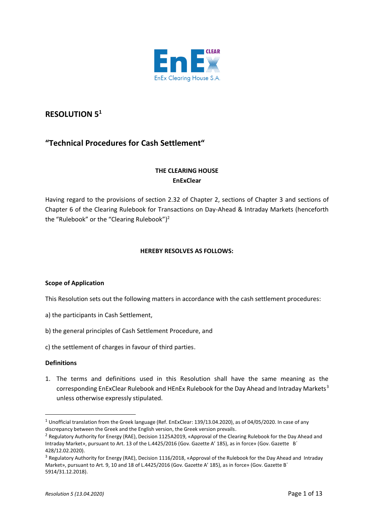

# **RESOLUTION 5<sup>1</sup>**

# **"Technical Procedures for Cash Settlement"**

# **THE CLEARING HOUSE EnExClear**

Having regard to the provisions of section 2.32 of Chapter 2, sections of Chapter 3 and sections of Chapter 6 of the Clearing Rulebook for Transactions on Day-Ahead & Intraday Markets (henceforth the "Rulebook" or the "Clearing Rulebook")<sup>2</sup>

# **HEREBY RESOLVES AS FOLLOWS:**

# **Scope of Application**

This Resolution sets out the following matters in accordance with the cash settlement procedures:

- a) the participants in Cash Settlement,
- b) the general principles of Cash Settlement Procedure, and
- c) the settlement of charges in favour of third parties.

# **Definitions**

1. The terms and definitions used in this Resolution shall have the same meaning as the corresponding EnExClear Rulebook and HEnEx Rulebook for the Day Ahead and Intraday Markets<sup>3</sup> unless otherwise expressly stipulated.

<sup>1</sup> Unofficial translation from the Greek language (Ref. EnExClear: 139/13.04.2020), as of 04/05/2020. In case of any discrepancy between the Greek and the English version, the Greek version prevails.

<sup>&</sup>lt;sup>2</sup> Regulatory Authority for Energy (RAE), Decision 1125A2019, «Approval of the Clearing Rulebook for the Day Ahead and Intraday Market», pursuant to Art. 13 of the L.4425/2016 (Gov. Gazette Α' 185), as in force» (Gov. Gazette Β΄ 428/12.02.2020).

<sup>&</sup>lt;sup>3</sup> Regulatory Authority for Energy (RAE), Decision 1116/2018, «Approval of the Rulebook for the Day Ahead and Intraday Market», pursuant to Art. 9, 10 and 18 of L.4425/2016 (Gov. Gazette Α' 185), as in force» (Gov. Gazette Β΄ 5914/31.12.2018).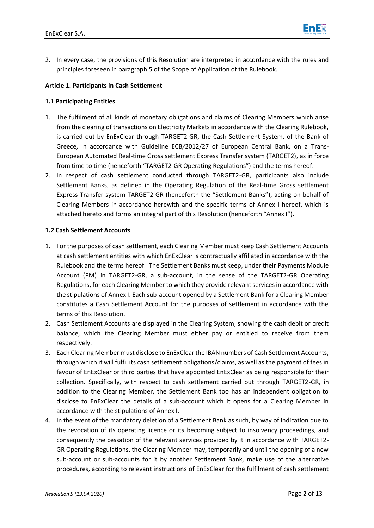

2. In every case, the provisions of this Resolution are interpreted in accordance with the rules and principles foreseen in paragraph 5 of the Scope of Application of the Rulebook.

# **Article 1. Participants in Cash Settlement**

# **1.1 Participating Entities**

- 1. The fulfilment of all kinds of monetary obligations and claims of Clearing Members which arise from the clearing of transactions on Electricity Markets in accordance with the Clearing Rulebook, is carried out by EnExClear through TARGET2-GR, the Cash Settlement System, of the Bank of Greece, in accordance with Guideline ECB*/*2012/27 of European Central Bank, on a Trans-European Automated Real-time Gross settlement Express Transfer system (TARGET2), as in force from time to time (henceforth "TARGET2-GR Operating Regulations") and the terms hereof.
- 2. Ιn respect of cash settlement conducted through TARGET2-GR, participants also include Settlement Banks, as defined in the Operating Regulation of the Real-time Gross settlement Express Transfer system TARGET2-GR (henceforth the "Settlement Banks"), acting on behalf of Clearing Members in accordance herewith and the specific terms of Annex I hereof, which is attached hereto and forms an integral part of this Resolution (henceforth "Annex I").

# **1.2 Cash Settlement Accounts**

- 1. For the purposes of cash settlement, each Clearing Member must keep Cash Settlement Accounts at cash settlement entities with which EnExClear is contractually affiliated in accordance with the Rulebook and the terms hereof. The Settlement Banks must keep, under their Payments Module Account (PM) in TARGET2-GR, a sub-account, in the sense of the TARGET2-GR Operating Regulations, for each Clearing Member to which they provide relevant services in accordance with the stipulations of Annex I. Each sub-account opened by a Settlement Bank for a Clearing Member constitutes a Cash Settlement Account for the purposes of settlement in accordance with the terms of this Resolution.
- 2. Cash Settlement Accounts are displayed in the Clearing System, showing the cash debit or credit balance, which the Clearing Member must either pay or entitled to receive from them respectively.
- 3. Each Clearing Member must disclose to EnExClearthe IBAN numbers of Cash Settlement Accounts, through which it will fulfil its cash settlement obligations/claims, as well as the payment of fees in favour of EnExClear or third parties that have appointed EnExClear as being responsible for their collection. Specifically, with respect to cash settlement carried out through TARGET2-GR, in addition to the Clearing Member, the Settlement Bank too has an independent obligation to disclose to EnExClear the details of a sub-account which it opens for a Clearing Member in accordance with the stipulations of Annex I.
- 4. In the event of the mandatory deletion of a Settlement Bank as such, by way of indication due to the revocation of its operating licence or its becoming subject to insolvency proceedings, and consequently the cessation of the relevant services provided by it in accordance with TARGET2- GR Operating Regulations, the Clearing Member may, temporarily and until the opening of a new sub-account or sub-accounts for it by another Settlement Bank, make use of the alternative procedures, according to relevant instructions of EnExClear for the fulfilment of cash settlement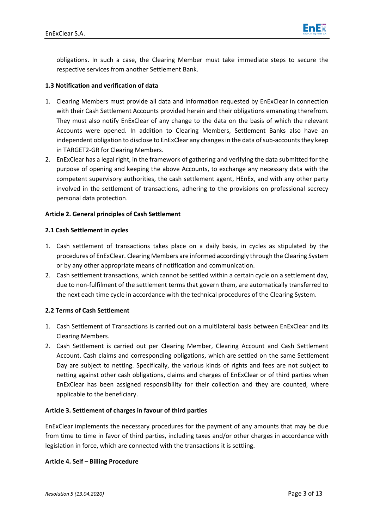

obligations. In such a case, the Clearing Member must take immediate steps to secure the respective services from another Settlement Bank.

# **1.3 Notification and verification of data**

- 1. Clearing Members must provide all data and information requested by EnExClear in connection with their Cash Settlement Accounts provided herein and their obligations emanating therefrom. They must also notify EnExClear of any change to the data on the basis of which the relevant Accounts were opened. In addition to Clearing Members, Settlement Banks also have an independent obligation to disclose to EnExClear any changes in the data of sub-accounts they keep in TARGET2-GR for Clearing Members.
- 2. EnExClear has a legal right, in the framework of gathering and verifying the data submitted for the purpose of opening and keeping the above Accounts, to exchange any necessary data with the competent supervisory authorities, the cash settlement agent, HEnEx, and with any other party involved in the settlement of transactions, adhering to the provisions on professional secrecy personal data protection.

#### **Article 2. General principles of Cash Settlement**

#### **2.1 Cash Settlement in cycles**

- 1. Cash settlement of transactions takes place on a daily basis, in cycles as stipulated by the procedures of EnExClear. Clearing Members are informed accordingly through the Clearing System or by any other appropriate means of notification and communication.
- 2. Cash settlement transactions, which cannot be settled within a certain cycle on a settlement day, due to non-fulfilment of the settlement terms that govern them, are automatically transferred to the next each time cycle in accordance with the technical procedures of the Clearing System.

# **2.2 Terms of Cash Settlement**

- 1. Cash Settlement of Transactions is carried out on a multilateral basis between EnExClear and its Clearing Members.
- 2. Cash Settlement is carried out per Clearing Member, Clearing Account and Cash Settlement Account. Cash claims and corresponding obligations, which are settled on the same Settlement Day are subject to netting. Specifically, the various kinds of rights and fees are not subject to netting against other cash obligations, claims and charges of EnExClear or of third parties when EnExClear has been assigned responsibility for their collection and they are counted, where applicable to the beneficiary.

# **Article 3. Settlement of charges in favour of third parties**

EnExClear implements the necessary procedures for the payment of any amounts that may be due from time to time in favor of third parties, including taxes and/or other charges in accordance with legislation in force, which are connected with the transactions it is settling.

#### **Article 4. Self – Billing Procedure**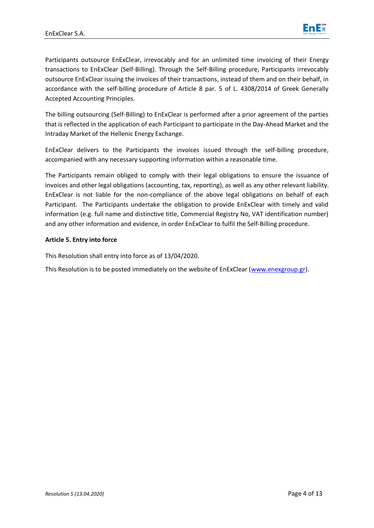

Participants outsource EnExClear, irrevocably and for an unlimited time invoicing of their Energy transactions to EnExClear (Self-Billing). Through the Self-Billing procedure, Participants irrevocably outsource EnExClear issuing the invoices of their transactions, instead of them and on their behalf, in accordance with the self-billing procedure of Article 8 par. 5 of L. 4308/2014 of Greek Generally Accepted Accounting Principles.

The billing outsourcing (Self-Billing) to EnExClear is performed after a prior agreement of the parties that is reflected in the application of each Participant to participate in the Day-Ahead Market and the Intraday Market of the Hellenic Energy Exchange.

EnExClear delivers to the Participants the invoices issued through the self-billing procedure, accompanied with any necessary supporting information within a reasonable time.

The Participants remain obliged to comply with their legal obligations to ensure the issuance of invoices and other legal obligations (accounting, tax, reporting), as well as any other relevant liability. EnExClear is not liable for the non-compliance of the above legal obligations on behalf of each Participant. The Participants undertake the obligation to provide EnExClear with timely and valid information (e.g. full name and distinctive title, Commercial Registry No, VAT identification number) and any other information and evidence, in order EnExClear to fulfil the Self-Billing procedure.

# **Article 5. Entry into force**

This Resolution shall entry into force as of 13/04/2020.

This Resolution is to be posted immediately on the website of EnExClear [\(www.enexgroup.gr\)](http://www.enexgroup.gr/).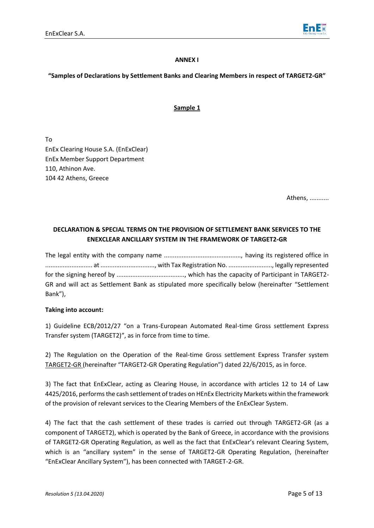

### **ANNEX I**

# **"Samples of Declarations by Settlement Banks and Clearing Members in respect of TARGET2-GR"**

# **Sample 1**

To EnEx Clearing House S.A. (EnExClear) EnEx Member Support Department 110, Athinon Ave. 104 42 Athens, Greece

Athens, ...........

# **DECLARATION & SPECIAL TERMS ON THE PROVISION OF SETTLEMENT BANK SERVICES TO THE ENEXCLEAR ANCILLARY SYSTEM IN THE FRAMEWORK OF TARGET2-GR**

The legal entity with the company name ............................................, having its registered office in ........................... at ..............................., with Tax Registration No. ........................., legally represented for the signing hereof by ......................................., which has the capacity of Participant in TARGET2- GR and will act as Settlement Bank as stipulated more specifically below (hereinafter "Settlement Bank"),

# **Taking into account:**

1) Guideline ECB/2012/27 "on a Trans-European Automated Real-time Gross settlement Express Transfer system (TARGET2)", as in force from time to time.

2) The Regulation on the Operation of the Real-time Gross settlement Express Transfer system TARGET2-GR (hereinafter "TARGET2-GR Operating Regulation") dated 22/6/2015, as in force.

3) The fact that EnExClear, acting as Clearing House, in accordance with articles 12 to 14 of Law 4425/2016, performsthe cash settlement of trades on HEnEx Electricity Markets within the framework of the provision of relevant services to the Clearing Members of the EnExClear System.

4) The fact that the cash settlement of these trades is carried out through TARGET2-GR (as a component of TARGET2), which is operated by the Bank of Greece, in accordance with the provisions of TARGET2-GR Operating Regulation, as well as the fact that EnExClear's relevant Clearing System, which is an "ancillary system" in the sense of TARGET2-GR Operating Regulation, (hereinafter "EnExClear Ancillary System"), has been connected with TARGET-2-GR.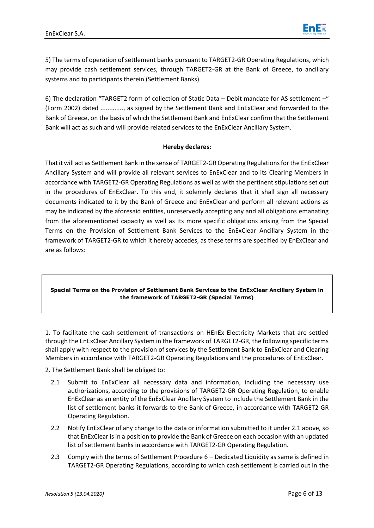

5) The terms of operation of settlement banks pursuant to TARGET2-GR Operating Regulations, which may provide cash settlement services, through TARGET2-GR at the Bank of Greece, to ancillary systems and to participants therein (Settlement Banks).

6) The declaration "TARGET2 form of collection of Static Data – Debit mandate for AS settlement –" (Form 2002) dated ............., as signed by the Settlement Bank and EnExClear and forwarded to the Bank of Greece, on the basis of which the Settlement Bank and EnExClear confirm that the Settlement Bank will act as such and will provide related services to the EnExClear Ancillary System.

#### **Hereby declares:**

That it will act as Settlement Bank in the sense of TARGET2-GR Operating Regulations for the EnExClear Ancillary System and will provide all relevant services to EnExClear and to its Clearing Members in accordance with TARGET2-GR Operating Regulations as well as with the pertinent stipulations set out in the procedures of EnExClear. To this end, it solemnly declares that it shall sign all necessary documents indicated to it by the Bank of Greece and EnExClear and perform all relevant actions as may be indicated by the aforesaid entities, unreservedly accepting any and all obligations emanating from the aforementioned capacity as well as its more specific obligations arising from the Special Terms on the Provision of Settlement Bank Services to the EnExClear Ancillary System in the framework of TARGET2-GR to which it hereby accedes, as these terms are specified by EnExClear and are as follows:

#### **Special Terms on the Provision of Settlement Bank Services to the EnExClear Ancillary System in the framework of TARGET2-GR (Special Terms)**

1. To facilitate the cash settlement of transactions on HEnEx Electricity Markets that are settled through the EnExClear Ancillary System in the framework of TARGET2-GR, the following specific terms shall apply with respect to the provision of services by the Settlement Bank to EnExClear and Clearing Members in accordance with TARGET2-GR Operating Regulations and the procedures of EnExClear.

2. The Settlement Bank shall be obliged to:

- 2.1 Submit to EnExClear all necessary data and information, including the necessary use authorizations, according to the provisions of TARGET2-GR Operating Regulation, to enable EnExClear as an entity of the EnExClear Ancillary System to include the Settlement Bank in the list of settlement banks it forwards to the Bank of Greece, in accordance with TARGET2-GR Operating Regulation.
- 2.2 Notify EnExClear of any change to the data or information submitted to it under 2.1 above, so that EnExClear is in a position to provide the Bank of Greece on each occasion with an updated list of settlement banks in accordance with TARGET2-GR Operating Regulation.
- 2.3 Comply with the terms of Settlement Procedure 6 Dedicated Liquidity as same is defined in TARGET2-GR Operating Regulations, according to which cash settlement is carried out in the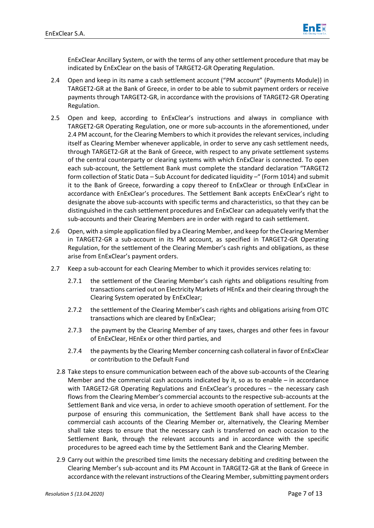

EnExClear Ancillary System, or with the terms of any other settlement procedure that may be indicated by EnExClear on the basis of TARGET2-GR Operating Regulation.

- 2.4 Open and keep in its name a cash settlement account ("PM account" (Payments Module)) in TARGET2-GR at the Bank of Greece, in order to be able to submit payment orders or receive payments through TARGET2-GR, in accordance with the provisions of TARGET2-GR Operating Regulation.
- 2.5 Open and keep, according to EnExClear's instructions and always in compliance with TARGET2-GR Operating Regulation, one or more sub-accounts in the aforementioned, under 2.4 PM account, for the Clearing Members to which it provides the relevant services, including itself as Clearing Member whenever applicable, in order to serve any cash settlement needs, through TARGET2-GR at the Bank of Greece, with respect to any private settlement systems of the central counterparty or clearing systems with which EnExClear is connected. To open each sub-account, the Settlement Bank must complete the standard declaration "TARGET2 form collection of Static Data – Sub Account for dedicated liquidity –" (Form 1014) and submit it to the Bank of Greece, forwarding a copy thereof to EnExClear or through EnExClear in accordance with EnExClear's procedures. The Settlement Bank accepts EnExClear's right to designate the above sub-accounts with specific terms and characteristics, so that they can be distinguished in the cash settlement procedures and EnExClear can adequately verify that the sub-accounts and their Clearing Members are in order with regard to cash settlement.
- 2.6 Open, with a simple application filed by a Clearing Member, and keep for the Clearing Member in TARGET2-GR a sub-account in its PM account, as specified in TARGET2-GR Operating Regulation, for the settlement of the Clearing Member's cash rights and obligations, as these arise from EnExClear's payment orders.
- 2.7 Keep a sub-account for each Clearing Member to which it provides services relating to:
	- 2.7.1 the settlement of the Clearing Member's cash rights and obligations resulting from transactions carried out on Electricity Markets of HEnEx and their clearing through the Clearing System operated by EnExClear;
	- 2.7.2 the settlement of the Clearing Member's cash rights and obligations arising from OTC transactions which are cleared by EnExClear;
	- 2.7.3 the payment by the Clearing Member of any taxes, charges and other fees in favour of EnExClear, HEnEx or other third parties, and
	- 2.7.4 the payments by the Clearing Member concerning cash collateral in favor of EnExClear or contribution to the Default Fund
	- 2.8 Take steps to ensure communication between each of the above sub-accounts of the Clearing Member and the commercial cash accounts indicated by it, so as to enable – in accordance with TARGET2-GR Operating Regulations and EnExClear's procedures – the necessary cash flows from the Clearing Member's commercial accounts to the respective sub-accounts at the Settlement Bank and vice versa, in order to achieve smooth operation of settlement. For the purpose of ensuring this communication, the Settlement Bank shall have access to the commercial cash accounts of the Clearing Member or, alternatively, the Clearing Member shall take steps to ensure that the necessary cash is transferred on each occasion to the Settlement Bank, through the relevant accounts and in accordance with the specific procedures to be agreed each time by the Settlement Bank and the Clearing Member.
	- 2.9 Carry out within the prescribed time limits the necessary debiting and crediting between the Clearing Member's sub-account and its PM Account in TARGET2-GR at the Bank of Greece in accordance with the relevant instructions of the Clearing Member, submitting payment orders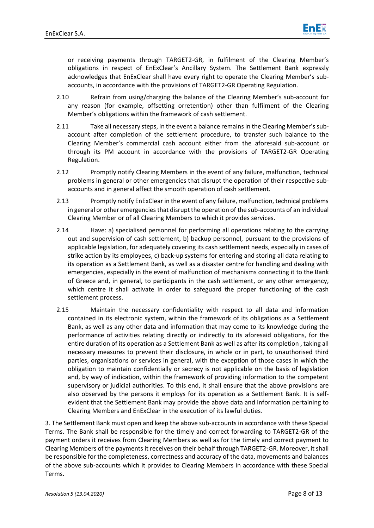

or receiving payments through TARGET2-GR, in fulfilment of the Clearing Member's obligations in respect of EnExClear's Ancillary System. The Settlement Bank expressly acknowledges that EnExClear shall have every right to operate the Clearing Member's subaccounts, in accordance with the provisions of TARGET2-GR Operating Regulation.

- 2.10 Refrain from using/charging the balance of the Clearing Member's sub-account for any reason (for example, offsetting orretention) other than fulfilment of the Clearing Member's obligations within the framework of cash settlement.
- 2.11 Take all necessary steps, in the event a balance remains in the Clearing Member's subaccount after completion of the settlement procedure, to transfer such balance to the Clearing Member's commercial cash account either from the aforesaid sub-account or through its PM account in accordance with the provisions of TARGET2-GR Operating Regulation.
- 2.12 Promptly notify Clearing Members in the event of any failure, malfunction, technical problems in general or other emergencies that disrupt the operation of their respective subaccounts and in general affect the smooth operation of cash settlement.
- 2.13 Promptly notify EnExClear in the event of any failure, malfunction, technical problems in general or other emergencies that disrupt the operation of the sub-accounts of an individual Clearing Member or of all Clearing Members to which it provides services.
- 2.14 Have: a) specialised personnel for performing all operations relating to the carrying out and supervision of cash settlement, b) backup personnel, pursuant to the provisions of applicable legislation, for adequately covering its cash settlement needs, especially in cases of strike action by its employees, c) back-up systems for entering and storing all data relating to its operation as a Settlement Bank, as well as a disaster centre for handling and dealing with emergencies, especially in the event of malfunction of mechanisms connecting it to the Bank of Greece and, in general, to participants in the cash settlement, or any other emergency, which centre it shall activate in order to safeguard the proper functioning of the cash settlement process.
- 2.15 Maintain the necessary confidentiality with respect to all data and information contained in its electronic system, within the framework of its obligations as a Settlement Bank, as well as any other data and information that may come to its knowledge during the performance of activities relating directly or indirectly to its aforesaid obligations, for the entire duration of its operation as a Settlement Bank as well as after its completion , taking all necessary measures to prevent their disclosure, in whole or in part, to unauthorised third parties, organisations or services in general, with the exception of those cases in which the obligation to maintain confidentially or secrecy is not applicable on the basis of legislation and, by way of indication, within the framework of providing information to the competent supervisory or judicial authorities. To this end, it shall ensure that the above provisions are also observed by the persons it employs for its operation as a Settlement Bank. It is selfevident that the Settlement Bank may provide the above data and information pertaining to Clearing Members and EnExClear in the execution of its lawful duties.

3. The Settlement Bank must open and keep the above sub-accounts in accordance with these Special Terms. The Bank shall be responsible for the timely and correct forwarding to TARGET2-GR of the payment orders it receives from Clearing Members as well as for the timely and correct payment to Clearing Members of the payments it receives on their behalf through TARGET2-GR. Moreover, it shall be responsible for the completeness, correctness and accuracy of the data, movements and balances of the above sub-accounts which it provides to Clearing Members in accordance with these Special Terms.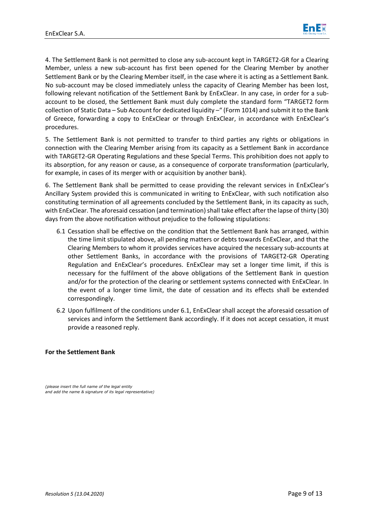

4. The Settlement Bank is not permitted to close any sub-account kept in TARGET2-GR for a Clearing Member, unless a new sub-account has first been opened for the Clearing Member by another Settlement Bank or by the Clearing Member itself, in the case where it is acting as a Settlement Bank. No sub-account may be closed immediately unless the capacity of Clearing Member has been lost, following relevant notification of the Settlement Bank by EnExClear. In any case, in order for a subaccount to be closed, the Settlement Bank must duly complete the standard form "TARGET2 form collection of Static Data – Sub Account for dedicated liquidity –" (Form 1014) and submit it to the Bank of Greece, forwarding a copy to EnExClear or through EnExClear, in accordance with EnExClear's procedures.

5. The Settlement Bank is not permitted to transfer to third parties any rights or obligations in connection with the Clearing Member arising from its capacity as a Settlement Bank in accordance with TARGET2-GR Operating Regulations and these Special Terms. This prohibition does not apply to its absorption, for any reason or cause, as a consequence of corporate transformation (particularly, for example, in cases of its merger with or acquisition by another bank).

6. The Settlement Bank shall be permitted to cease providing the relevant services in EnExClear's Ancillary System provided this is communicated in writing to EnExClear, with such notification also constituting termination of all agreements concluded by the Settlement Bank, in its capacity as such, with EnExClear. The aforesaid cessation (and termination) shall take effect after the lapse of thirty (30) days from the above notification without prejudice to the following stipulations:

- 6.1 Cessation shall be effective on the condition that the Settlement Bank has arranged, within the time limit stipulated above, all pending matters or debts towards EnExClear, and that the Clearing Members to whom it provides services have acquired the necessary sub-accounts at other Settlement Banks, in accordance with the provisions of TARGET2-GR Operating Regulation and EnExClear's procedures. EnExClear may set a longer time limit, if this is necessary for the fulfilment of the above obligations of the Settlement Bank in question and/or for the protection of the clearing or settlement systems connected with EnExClear. In the event of a longer time limit, the date of cessation and its effects shall be extended correspondingly.
- 6.2 Upon fulfilment of the conditions under 6.1, EnExClear shall accept the aforesaid cessation of services and inform the Settlement Bank accordingly. If it does not accept cessation, it must provide a reasoned reply.

#### **For the Settlement Bank**

*(please insert the full name of the legal entity and add the name & signature of its legal representative)*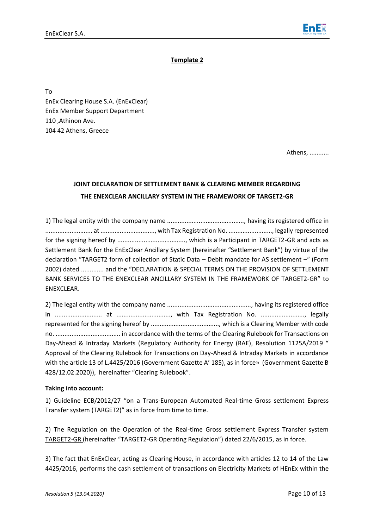

### **Template 2**

To EnEx Clearing House S.A. (EnExClear) EnEx Member Support Department 110 ,Athinon Ave. 104 42 Athens, Greece

Athens, ...........

# **JOINT DECLARATION OF SETTLEMENT BANK & CLEARING MEMBER REGARDING THE ENEXCLEAR ANCILLARY SYSTEM IN THE FRAMEWORK OF TARGET2-GR**

1) The legal entity with the company name ............................................, having its registered office in ........................... at ..............................., with Tax Registration No. ........................., legally represented for the signing hereof by ......................................., which is a Participant in TARGET2-GR and acts as Settlement Bank for the EnExClear Ancillary System (hereinafter "Settlement Bank") by virtue of the declaration "TARGET2 form of collection of Static Data – Debit mandate for AS settlement –" (Form 2002) dated ............. and the "DECLARATION & SPECIAL TERMS ON THE PROVISION OF SETTLEMENT BANK SERVICES TO THE ENEXCLEAR ANCILLARY SYSTEM IN THE FRAMEWORK OF TARGET2-GR" to ENEXCLEAR.

2) The legal entity with the company name ................................................, having its registered office in ........................... at ..............................., with Tax Registration No. ........................., legally represented for the signing hereof by ......................................., which is a Clearing Member with code no. ..................................... in accordance with the terms of the Clearing Rulebook for Transactions on Day-Ahead & Intraday Markets (Regulatory Authority for Energy (RAE), Resolution 1125A/2019 " Approval of the Clearing Rulebook for Transactions on Day-Ahead & Intraday Markets in accordance with the article 13 of L.4425/2016 (Government Gazette Α' 185), as in force» (Government Gazette B 428/12.02.2020)), hereinafter "Clearing Rulebook".

#### **Taking into account:**

1) Guideline ECB/2012/27 "on a Trans-European Automated Real-time Gross settlement Express Transfer system (TARGET2)" as in force from time to time.

2) The Regulation on the Operation of the Real-time Gross settlement Express Transfer system TARGET2-GR (hereinafter "TARGET2-GR Operating Regulation") dated 22/6/2015, as in force.

3) The fact that EnExClear, acting as Clearing House, in accordance with articles 12 to 14 of the Law 4425/2016, performs the cash settlement of transactions on Electricity Markets of HEnEx within the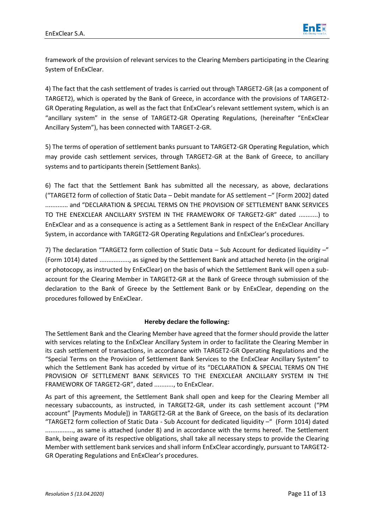

framework of the provision of relevant services to the Clearing Members participating in the Clearing System of EnExClear.

4) The fact that the cash settlement of trades is carried out through TARGET2-GR (as a component of TARGET2), which is operated by the Bank of Greece, in accordance with the provisions of TARGET2- GR Operating Regulation, as well as the fact that EnExClear's relevant settlement system, which is an "ancillary system" in the sense of TARGET2-GR Operating Regulations, (hereinafter "EnExClear Ancillary System"), has been connected with TARGET-2-GR.

5) The terms of operation of settlement banks pursuant to TARGET2-GR Operating Regulation, which may provide cash settlement services, through TARGET2-GR at the Bank of Greece, to ancillary systems and to participants therein (Settlement Banks).

6) The fact that the Settlement Bank has submitted all the necessary, as above, declarations ("TARGET2 form of collection of Static Data – Debit mandate for AS settlement –" [Form 2002] dated ............. and "DECLARATION & SPECIAL TERMS ON THE PROVISION OF SETTLEMENT BANK SERVICES TO THE ENEXCLEAR ANCILLARY SYSTEM IN THE FRAMEWORK OF TARGET2-GR" dated ...........) to EnExClear and as a consequence is acting as a Settlement Bank in respect of the EnExClear Ancillary System, in accordance with TARGET2-GR Operating Regulations and EnExClear's procedures.

7) The declaration "TARGET2 form collection of Static Data – Sub Account for dedicated liquidity –" (Form 1014) dated ................., as signed by the Settlement Bank and attached hereto (in the original or photocopy, as instructed by EnExClear) on the basis of which the Settlement Bank will open a subaccount for the Clearing Member in TARGET2-GR at the Bank of Greece through submission of the declaration to the Bank of Greece by the Settlement Bank or by EnExClear, depending on the procedures followed by EnExClear.

# **Hereby declare the following:**

The Settlement Bank and the Clearing Member have agreed that the former should provide the latter with services relating to the EnExClear Ancillary System in order to facilitate the Clearing Member in its cash settlement of transactions, in accordance with TARGET2-GR Operating Regulations and the "Special Terms on the Provision of Settlement Bank Services to the EnExClear Ancillary System" to which the Settlement Bank has acceded by virtue of its "DECLARATION & SPECIAL TERMS ON THE PROVISION OF SETTLEMENT BANK SERVICES TO THE ENEXCLEAR ANCILLARY SYSTEM IN THE FRAMEWORK OF TARGET2-GR", dated ..........., to EnExClear.

As part of this agreement, the Settlement Bank shall open and keep for the Clearing Member all necessary subaccounts, as instructed, in TARGET2-GR, under its cash settlement account ("PM account" [Payments Module]) in TARGET2-GR at the Bank of Greece, on the basis of its declaration "TARGET2 form collection of Static Data - Sub Account for dedicated liquidity –" (Form 1014) dated ................, as same is attached (under 8) and in accordance with the terms hereof. The Settlement Bank, being aware of its respective obligations, shall take all necessary steps to provide the Clearing Member with settlement bank services and shall inform EnExClear accordingly, pursuant to TARGET2- GR Operating Regulations and EnExClear's procedures.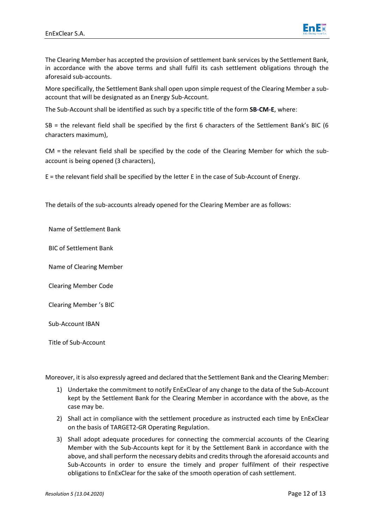

The Clearing Member has accepted the provision of settlement bank services by the Settlement Bank, in accordance with the above terms and shall fulfil its cash settlement obligations through the aforesaid sub-accounts.

More specifically, the Settlement Bank shall open upon simple request of the Clearing Member a subaccount that will be designated as an Energy Sub-Account.

The Sub-Account shall be identified as such by a specific title of the form **SB-CM-E**, where:

SB = the relevant field shall be specified by the first 6 characters of the Settlement Bank's BIC (6 characters maximum),

CM = the relevant field shall be specified by the code of the Clearing Member for which the subaccount is being opened (3 characters),

E = the relevant field shall be specified by the letter E in the case of Sub-Account of Energy.

The details of the sub-accounts already opened for the Clearing Member are as follows:

Name of Settlement Bank

BIC of Settlement Bank

Name of Clearing Member

Clearing Member Code

Clearing Member 's BIC

Sub-Account ΙΒΑΝ

Title of Sub-Account

Moreover, it is also expressly agreed and declared that the Settlement Bank and the Clearing Member:

- 1) Undertake the commitment to notify EnExClear of any change to the data of the Sub-Account kept by the Settlement Bank for the Clearing Member in accordance with the above, as the case may be.
- 2) Shall act in compliance with the settlement procedure as instructed each time by EnExClear on the basis of TARGET2-GR Operating Regulation.
- 3) Shall adopt adequate procedures for connecting the commercial accounts of the Clearing Member with the Sub-Accounts kept for it by the Settlement Bank in accordance with the above, and shall perform the necessary debits and credits through the aforesaid accounts and Sub-Accounts in order to ensure the timely and proper fulfilment of their respective obligations to EnExClear for the sake of the smooth operation of cash settlement.